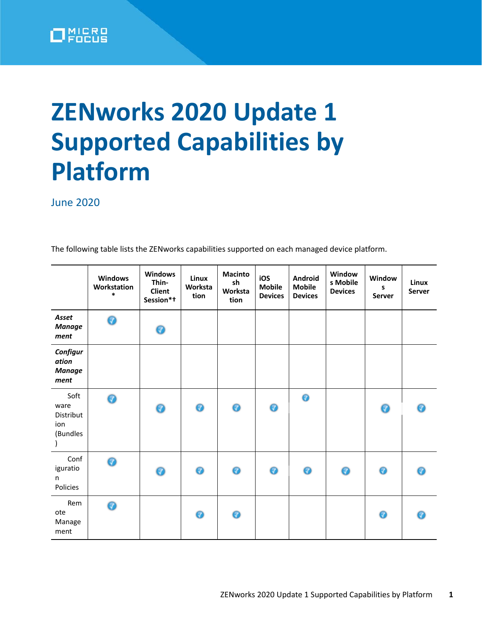

## **ZENworks 2020 Update 1 Supported Capabilities by Platform**

**June 2020** 

The following table lists the ZENworks capabilities supported on each managed device platform.

|                                              | <b>Windows</b><br>Workstation<br>$\ast$ | <b>Windows</b><br>Thin-<br><b>Client</b><br>Session*t | Linux<br>Worksta<br>tion | <b>Macinto</b><br>sh<br>Worksta<br>tion | iOS<br><b>Mobile</b><br><b>Devices</b> | <b>Android</b><br><b>Mobile</b><br><b>Devices</b> | Window<br>s Mobile<br><b>Devices</b> | Window<br>S<br>Server | Linux<br>Server |
|----------------------------------------------|-----------------------------------------|-------------------------------------------------------|--------------------------|-----------------------------------------|----------------------------------------|---------------------------------------------------|--------------------------------------|-----------------------|-----------------|
| Asset<br><b>Manage</b><br>ment               | 0                                       | ◉                                                     |                          |                                         |                                        |                                                   |                                      |                       |                 |
| Configur<br>ation<br><b>Manage</b><br>ment   |                                         |                                                       |                          |                                         |                                        |                                                   |                                      |                       |                 |
| Soft<br>ware<br>Distribut<br>ion<br>(Bundles | 0                                       | 0                                                     | ◉                        | ◉                                       | ◉                                      | $\bullet$                                         |                                      | ◉                     | ⋒               |
| Conf<br>iguratio<br>n.<br>Policies           | 0                                       | 0                                                     | 0                        | 0                                       | 0                                      | ◉                                                 | 0                                    | ◉                     |                 |
| Rem<br>ote<br>Manage<br>ment                 | 0                                       |                                                       | 0                        | 0                                       |                                        |                                                   |                                      | ◉                     |                 |